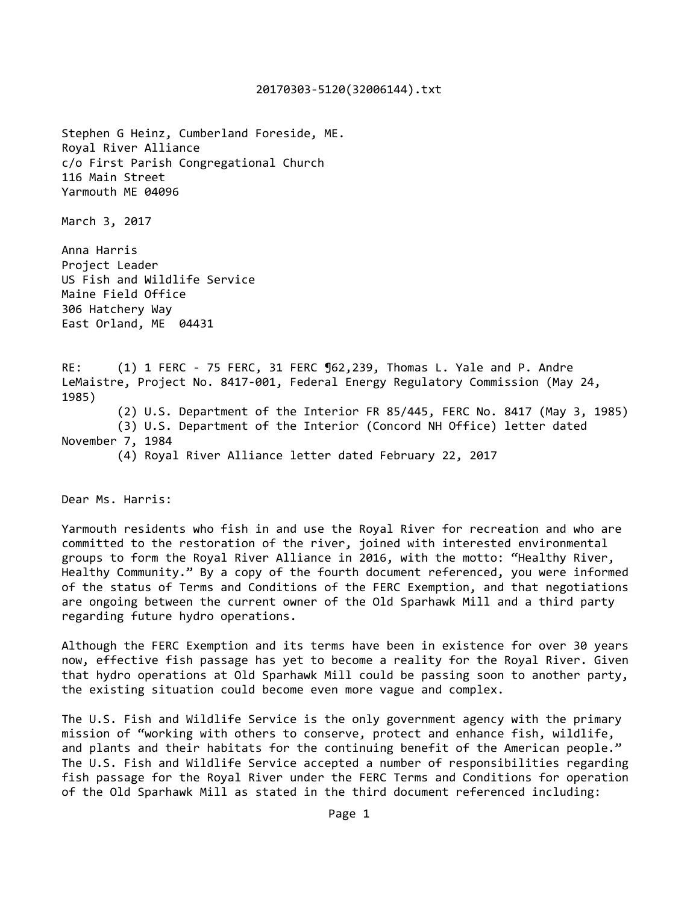## 20170303‐5120(32006144).txt

Stephen G Heinz, Cumberland Foreside, ME. Royal River Alliance c/o First Parish Congregational Church 116 Main Street Yarmouth ME 04096 March 3, 2017 Anna Harris Project Leader US Fish and Wildlife Service Maine Field Office 306 Hatchery Way East Orland, ME 04431 RE: (1) 1 FERC - 75 FERC, 31 FERC 962,239, Thomas L. Yale and P. Andre LeMaistre, Project No. 8417-001, Federal Energy Regulatory Commission (May 24, 1985) (2) U.S. Department of the Interior FR 85/445, FERC No. 8417 (May 3, 1985) (3) U.S. Department of the Interior (Concord NH Office) letter dated November 7, 1984 (4) Royal River Alliance letter dated February 22, 2017

Dear Ms. Harris:

Yarmouth residents who fish in and use the Royal River for recreation and who are committed to the restoration of the river, joined with interested environmental groups to form the Royal River Alliance in 2016, with the motto: "Healthy River, Healthy Community." By a copy of the fourth document referenced, you were informed of the status of Terms and Conditions of the FERC Exemption, and that negotiations are ongoing between the current owner of the Old Sparhawk Mill and a third party regarding future hydro operations.

Although the FERC Exemption and its terms have been in existence for over 30 years now, effective fish passage has yet to become a reality for the Royal River. Given that hydro operations at Old Sparhawk Mill could be passing soon to another party, the existing situation could become even more vague and complex.

The U.S. Fish and Wildlife Service is the only government agency with the primary mission of "working with others to conserve, protect and enhance fish, wildlife, and plants and their habitats for the continuing benefit of the American people." The U.S. Fish and Wildlife Service accepted a number of responsibilities regarding fish passage for the Royal River under the FERC Terms and Conditions for operation of the Old Sparhawk Mill as stated in the third document referenced including: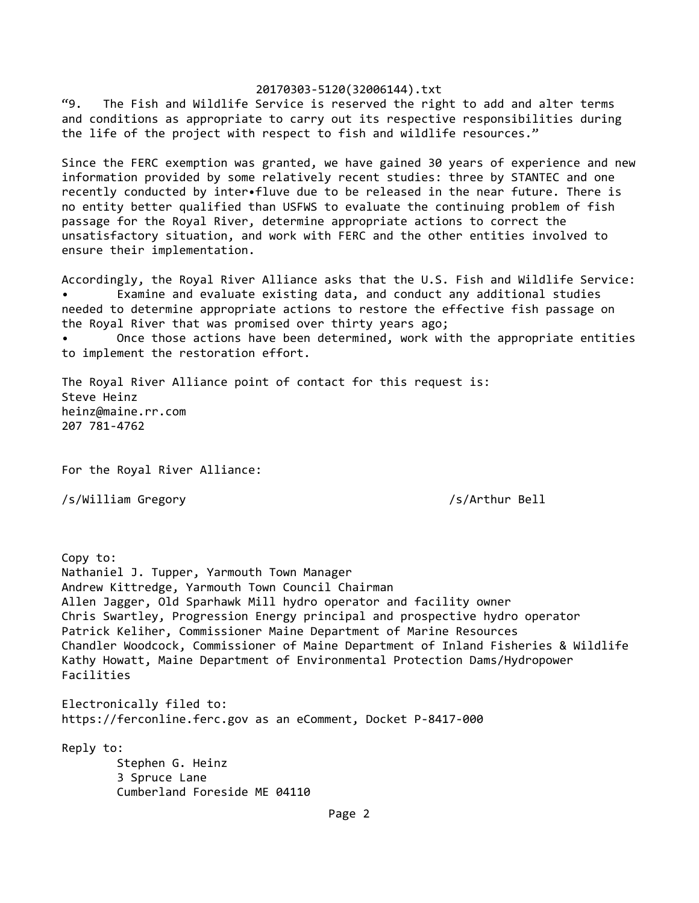## 20170303‐5120(32006144).txt

"9. The Fish and Wildlife Service is reserved the right to add and alter terms and conditions as appropriate to carry out its respective responsibilities during the life of the project with respect to fish and wildlife resources."

Since the FERC exemption was granted, we have gained 30 years of experience and new information provided by some relatively recent studies: three by STANTEC and one recently conducted by inter•fluve due to be released in the near future. There is no entity better qualified than USFWS to evaluate the continuing problem of fish passage for the Royal River, determine appropriate actions to correct the unsatisfactory situation, and work with FERC and the other entities involved to ensure their implementation.

Accordingly, the Royal River Alliance asks that the U.S. Fish and Wildlife Service: Examine and evaluate existing data, and conduct any additional studies needed to determine appropriate actions to restore the effective fish passage on the Royal River that was promised over thirty years ago;

Once those actions have been determined, work with the appropriate entities to implement the restoration effort.

The Royal River Alliance point of contact for this request is: Steve Heinz heinz@maine.rr.com 207 781‐4762

For the Royal River Alliance:

/s/William Gregory /s/Arthur Bell

Copy to: Nathaniel J. Tupper, Yarmouth Town Manager Andrew Kittredge, Yarmouth Town Council Chairman Allen Jagger, Old Sparhawk Mill hydro operator and facility owner Chris Swartley, Progression Energy principal and prospective hydro operator Patrick Keliher, Commissioner Maine Department of Marine Resources Chandler Woodcock, Commissioner of Maine Department of Inland Fisheries & Wildlife Kathy Howatt, Maine Department of Environmental Protection Dams/Hydropower Facilities Electronically filed to: https://ferconline.ferc.gov as an eComment, Docket P‐8417‐000 Reply to: Stephen G. Heinz 3 Spruce Lane Cumberland Foreside ME 04110